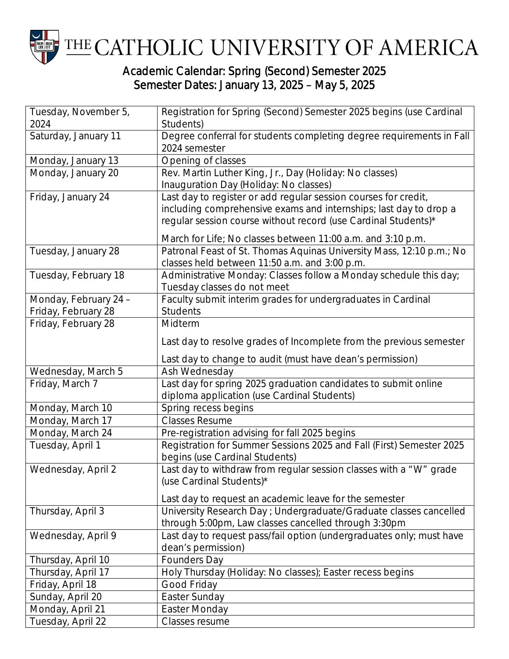

## Academic Calendar: Spring (Second) Semester 2025 Semester Dates: January 13, 2025 – May 5, 2025

| Tuesday, November 5,  | Registration for Spring (Second) Semester 2025 begins (use Cardinal                                                          |
|-----------------------|------------------------------------------------------------------------------------------------------------------------------|
| 2024                  | Students)                                                                                                                    |
| Saturday, January 11  | Degree conferral for students completing degree requirements in Fall                                                         |
|                       | 2024 semester                                                                                                                |
| Monday, January 13    | Opening of classes                                                                                                           |
| Monday, January 20    | Rev. Martin Luther King, Jr., Day (Holiday: No classes)                                                                      |
|                       | Inauguration Day (Holiday: No classes)                                                                                       |
| Friday, January 24    | Last day to register or add regular session courses for credit,                                                              |
|                       | including comprehensive exams and internships; last day to drop a                                                            |
|                       | regular session course without record (use Cardinal Students)*                                                               |
|                       | March for Life; No classes between 11:00 a.m. and 3:10 p.m.                                                                  |
| Tuesday, January 28   | Patronal Feast of St. Thomas Aquinas University Mass, 12:10 p.m.; No                                                         |
|                       | classes held between 11:50 a.m. and 3:00 p.m.                                                                                |
| Tuesday, February 18  | Administrative Monday: Classes follow a Monday schedule this day;                                                            |
|                       | Tuesday classes do not meet                                                                                                  |
| Monday, February 24 - | Faculty submit interim grades for undergraduates in Cardinal                                                                 |
| Friday, February 28   | <b>Students</b>                                                                                                              |
| Friday, February 28   | Midterm                                                                                                                      |
|                       | Last day to resolve grades of Incomplete from the previous semester                                                          |
|                       | Last day to change to audit (must have dean's permission)                                                                    |
| Wednesday, March 5    | Ash Wednesday                                                                                                                |
| Friday, March 7       | Last day for spring 2025 graduation candidates to submit online                                                              |
|                       | diploma application (use Cardinal Students)                                                                                  |
| Monday, March 10      | Spring recess begins                                                                                                         |
| Monday, March 17      | <b>Classes Resume</b>                                                                                                        |
| Monday, March 24      | Pre-registration advising for fall 2025 begins                                                                               |
| Tuesday, April 1      | Registration for Summer Sessions 2025 and Fall (First) Semester 2025<br>begins (use Cardinal Students)                       |
| Wednesday, April 2    | Last day to withdraw from regular session classes with a "W" grade                                                           |
|                       | (use Cardinal Students)*                                                                                                     |
|                       |                                                                                                                              |
| Thursday, April 3     | Last day to request an academic leave for the semester<br>University Research Day ; Undergraduate/Graduate classes cancelled |
|                       | through 5:00pm, Law classes cancelled through 3:30pm                                                                         |
| Wednesday, April 9    | Last day to request pass/fail option (undergraduates only; must have                                                         |
|                       | dean's permission)                                                                                                           |
| Thursday, April 10    | Founders Day                                                                                                                 |
| Thursday, April 17    | Holy Thursday (Holiday: No classes); Easter recess begins                                                                    |
| Friday, April 18      | Good Friday                                                                                                                  |
| Sunday, April 20      | Easter Sunday                                                                                                                |
| Monday, April 21      | Easter Monday                                                                                                                |
| Tuesday, April 22     | Classes resume                                                                                                               |
|                       |                                                                                                                              |